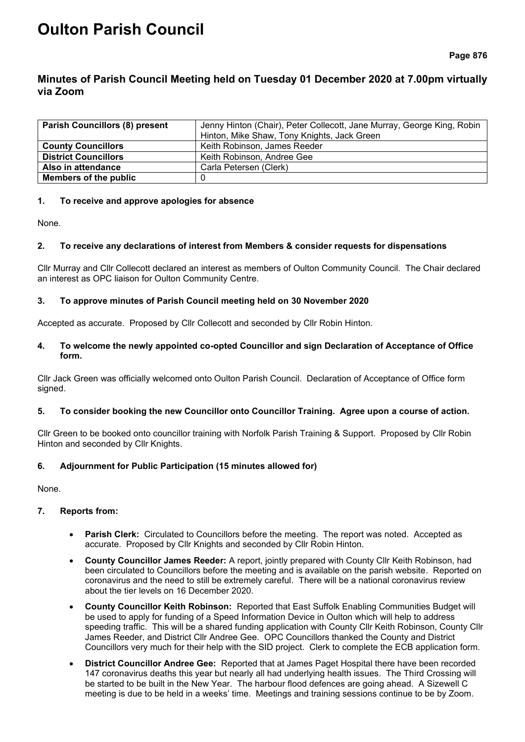# **Oulton Parish Council**

**Page 876**

## **Minutes of Parish Council Meeting held on Tuesday 01 December 2020 at 7.00pm virtually via Zoom**

| <b>Parish Councillors (8) present</b> | Jenny Hinton (Chair), Peter Collecott, Jane Murray, George King, Robin |  |  |
|---------------------------------------|------------------------------------------------------------------------|--|--|
|                                       | Hinton, Mike Shaw, Tony Knights, Jack Green                            |  |  |
| <b>County Councillors</b>             | Keith Robinson, James Reeder                                           |  |  |
| <b>District Councillors</b>           | Keith Robinson, Andree Gee                                             |  |  |
| Also in attendance                    | Carla Petersen (Clerk)                                                 |  |  |
| <b>Members of the public</b>          |                                                                        |  |  |

## **1. To receive and approve apologies for absence**

None.

## **2. To receive any declarations of interest from Members & consider requests for dispensations**

Cllr Murray and Cllr Collecott declared an interest as members of Oulton Community Council. The Chair declared an interest as OPC liaison for Oulton Community Centre.

## **3. To approve minutes of Parish Council meeting held on 30 November 2020**

Accepted as accurate. Proposed by Cllr Collecott and seconded by Cllr Robin Hinton.

## **4. To welcome the newly appointed co-opted Councillor and sign Declaration of Acceptance of Office form.**

Cllr Jack Green was officially welcomed onto Oulton Parish Council. Declaration of Acceptance of Office form signed.

## **5. To consider booking the new Councillor onto Councillor Training. Agree upon a course of action.**

Cllr Green to be booked onto councillor training with Norfolk Parish Training & Support. Proposed by Cllr Robin Hinton and seconded by Cllr Knights.

## **6. Adjournment for Public Participation (15 minutes allowed for)**

None.

## **7. Reports from:**

- **Parish Clerk:** Circulated to Councillors before the meeting. The report was noted. Accepted as accurate. Proposed by Cllr Knights and seconded by Cllr Robin Hinton.
- **County Councillor James Reeder:** A report, jointly prepared with County Cllr Keith Robinson, had been circulated to Councillors before the meeting and is available on the parish website. Reported on coronavirus and the need to still be extremely careful. There will be a national coronavirus review about the tier levels on 16 December 2020.
- **County Councillor Keith Robinson:** Reported that East Suffolk Enabling Communities Budget will be used to apply for funding of a Speed Information Device in Oulton which will help to address speeding traffic. This will be a shared funding application with County Cllr Keith Robinson, County Cllr James Reeder, and District Cllr Andree Gee. OPC Councillors thanked the County and District Councillors very much for their help with the SID project. Clerk to complete the ECB application form.
- **District Councillor Andree Gee:** Reported that at James Paget Hospital there have been recorded 147 coronavirus deaths this year but nearly all had underlying health issues. The Third Crossing will be started to be built in the New Year. The harbour flood defences are going ahead. A Sizewell C meeting is due to be held in a weeks' time. Meetings and training sessions continue to be by Zoom.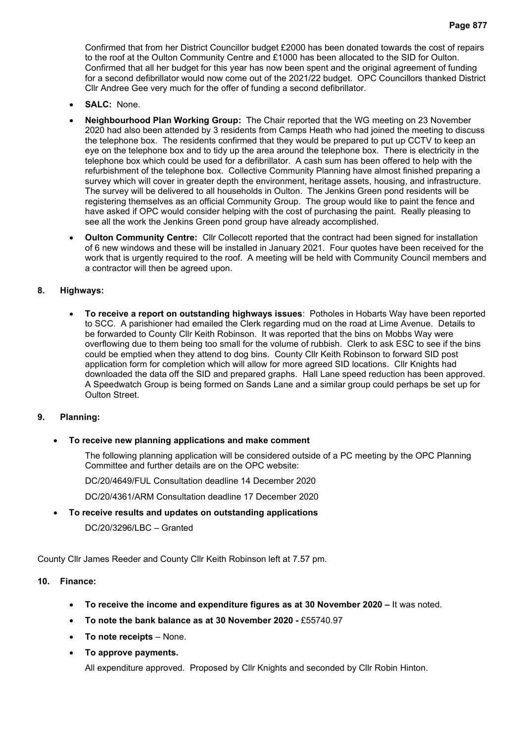Confirmed that from her District Councillor budget £2000 has been donated towards the cost of repairs to the roof at the Oulton Community Centre and £1000 has been allocated to the SID for Oulton. Confirmed that all her budget for this year has now been spent and the original agreement of funding for a second defibrillator would now come out of the 2021/22 budget. OPC Councillors thanked District Cllr Andree Gee very much for the offer of funding a second defibrillator.

- **SALC:** None.
- **Neighbourhood Plan Working Group:** The Chair reported that the WG meeting on 23 November 2020 had also been attended by 3 residents from Camps Heath who had joined the meeting to discuss the telephone box. The residents confirmed that they would be prepared to put up CCTV to keep an eye on the telephone box and to tidy up the area around the telephone box. There is electricity in the telephone box which could be used for a defibrillator. A cash sum has been offered to help with the refurbishment of the telephone box. Collective Community Planning have almost finished preparing a survey which will cover in greater depth the environment, heritage assets, housing, and infrastructure. The survey will be delivered to all households in Oulton. The Jenkins Green pond residents will be registering themselves as an official Community Group. The group would like to paint the fence and have asked if OPC would consider helping with the cost of purchasing the paint. Really pleasing to see all the work the Jenkins Green pond group have already accomplished.
- **Oulton Community Centre:** Cllr Collecott reported that the contract had been signed for installation of 6 new windows and these will be installed in January 2021. Four quotes have been received for the work that is urgently required to the roof. A meeting will be held with Community Council members and a contractor will then be agreed upon.

## **8. Highways:**

• **To receive a report on outstanding highways issues**:Potholes in Hobarts Way have been reported to SCC. A parishioner had emailed the Clerk regarding mud on the road at Lime Avenue. Details to be forwarded to County Cllr Keith Robinson. It was reported that the bins on Mobbs Way were overflowing due to them being too small for the volume of rubbish. Clerk to ask ESC to see if the bins could be emptied when they attend to dog bins. County Cllr Keith Robinson to forward SID post application form for completion which will allow for more agreed SID locations. Cllr Knights had downloaded the data off the SID and prepared graphs. Hall Lane speed reduction has been approved. A Speedwatch Group is being formed on Sands Lane and a similar group could perhaps be set up for Oulton Street.

#### **9. Planning:**

• **To receive new planning applications and make comment**

The following planning application will be considered outside of a PC meeting by the OPC Planning Committee and further details are on the OPC website:

DC/20/4649/FUL Consultation deadline 14 December 2020

DC/20/4361/ARM Consultation deadline 17 December 2020

• **To receive results and updates on outstanding applications** DC/20/3296/LBC – Granted

County Cllr James Reeder and County Cllr Keith Robinson left at 7.57 pm.

## **10. Finance:**

- **To receive the income and expenditure figures as at 30 November 2020 –** It was noted.
- **To note the bank balance as at 30 November 2020 -** £55740.97
- **To note receipts** None.
- **To approve payments.**

All expenditure approved. Proposed by Cllr Knights and seconded by Cllr Robin Hinton.